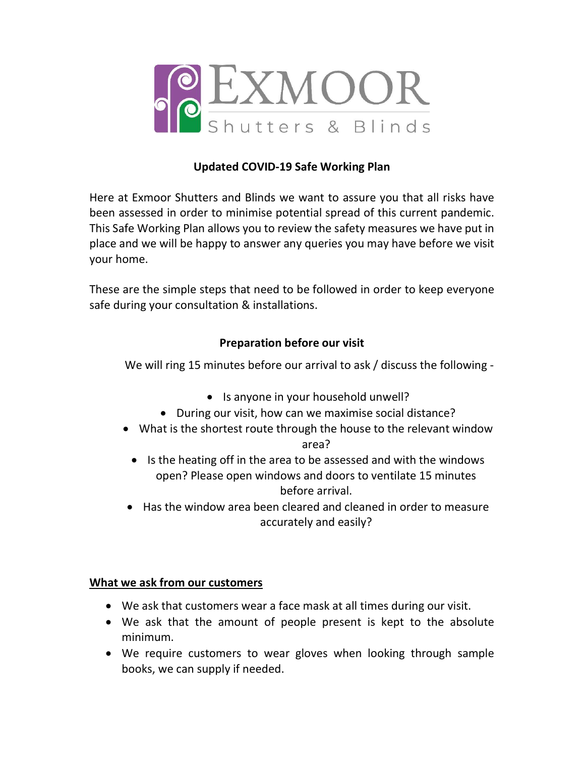

# Updated COVID-19 Safe Working Plan

Here at Exmoor Shutters and Blinds we want to assure you that all risks have been assessed in order to minimise potential spread of this current pandemic. This Safe Working Plan allows you to review the safety measures we have put in place and we will be happy to answer any queries you may have before we visit your home.

These are the simple steps that need to be followed in order to keep everyone safe during your consultation & installations.

# Preparation before our visit

We will ring 15 minutes before our arrival to ask / discuss the following -

- Is anyone in your household unwell?
- During our visit, how can we maximise social distance?
- What is the shortest route through the house to the relevant window area?
	- Is the heating off in the area to be assessed and with the windows open? Please open windows and doors to ventilate 15 minutes before arrival.
- Has the window area been cleared and cleaned in order to measure accurately and easily?

### What we ask from our customers

- We ask that customers wear a face mask at all times during our visit.
- We ask that the amount of people present is kept to the absolute minimum.
- We require customers to wear gloves when looking through sample books, we can supply if needed.